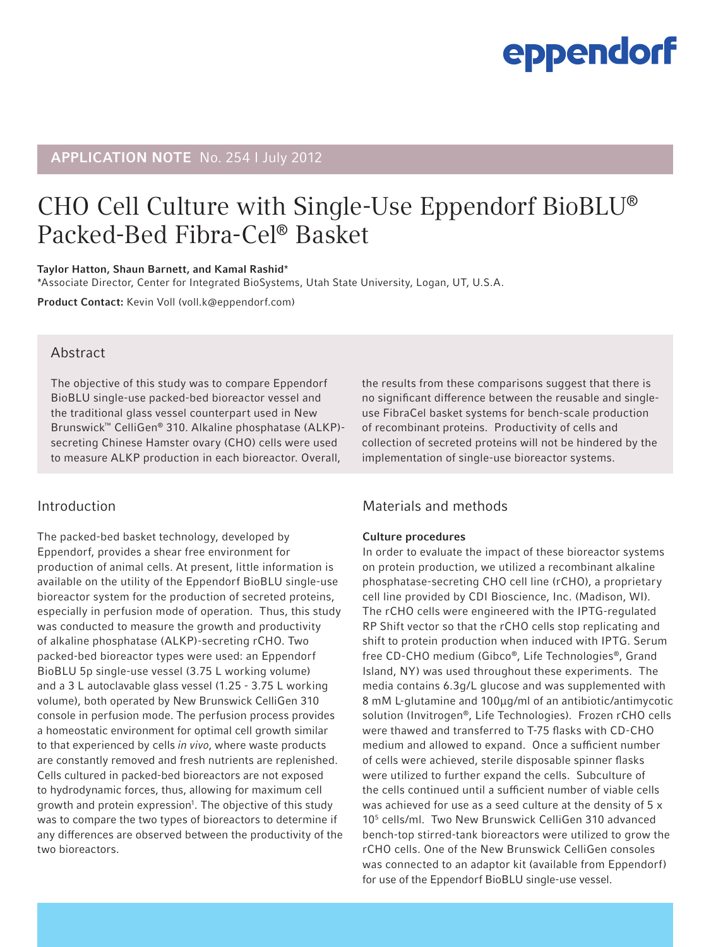# APPLICATION NOTE No. 254 I July 2012

# CHO Cell Culture with Single-Use Eppendorf BioBLU® Packed-Bed Fibra-Cel® Basket

#### Taylor Hatton, Shaun Barnett, and Kamal Rashid\*

\*Associate Director, Center for Integrated BioSystems, Utah State University, Logan, UT, U.S.A.

Product Contact: Kevin Voll (voll.k@eppendorf.com)

### Abstract

The objective of this study was to compare Eppendorf BioBLU single-use packed-bed bioreactor vessel and the traditional glass vessel counterpart used in New Brunswick™ CelliGen® 310. Alkaline phosphatase (ALKP) secreting Chinese Hamster ovary (CHO) cells were used to measure ALKP production in each bioreactor. Overall,

### Introduction

The packed-bed basket technology, developed by Eppendorf, provides a shear free environment for production of animal cells. At present, little information is available on the utility of the Eppendorf BioBLU single-use bioreactor system for the production of secreted proteins, especially in perfusion mode of operation. Thus, this study was conducted to measure the growth and productivity of alkaline phosphatase (ALKP)-secreting rCHO. Two packed-bed bioreactor types were used: an Eppendorf BioBLU 5p single-use vessel (3.75 L working volume) and a 3 L autoclavable glass vessel (1.25 - 3.75 L working volume), both operated by New Brunswick CelliGen 310 console in perfusion mode. The perfusion process provides a homeostatic environment for optimal cell growth similar to that experienced by cells *in vivo*, where waste products are constantly removed and fresh nutrients are replenished. Cells cultured in packed-bed bioreactors are not exposed to hydrodynamic forces, thus, allowing for maximum cell growth and protein expression<sup>1</sup>. The objective of this study was to compare the two types of bioreactors to determine if any differences are observed between the productivity of the two bioreactors.

the results from these comparisons suggest that there is no significant difference between the reusable and singleuse FibraCel basket systems for bench-scale production of recombinant proteins. Productivity of cells and collection of secreted proteins will not be hindered by the implementation of single-use bioreactor systems.

## Materials and methods

#### Culture procedures

In order to evaluate the impact of these bioreactor systems on protein production, we utilized a recombinant alkaline phosphatase-secreting CHO cell line (rCHO), a proprietary cell line provided by CDI Bioscience, Inc. (Madison, WI). The rCHO cells were engineered with the IPTG-regulated RP Shift vector so that the rCHO cells stop replicating and shift to protein production when induced with IPTG. Serum free CD-CHO medium (Gibco®, Life Technologies®, Grand Island, NY) was used throughout these experiments. The media contains 6.3g/L glucose and was supplemented with 8 mM L-glutamine and 100µg/ml of an antibiotic/antimycotic solution (Invitrogen®, Life Technologies). Frozen rCHO cells were thawed and transferred to T-75 flasks with CD-CHO medium and allowed to expand. Once a sufficient number of cells were achieved, sterile disposable spinner flasks were utilized to further expand the cells. Subculture of the cells continued until a sufficient number of viable cells was achieved for use as a seed culture at the density of 5 x 105 cells/ml. Two New Brunswick CelliGen 310 advanced bench-top stirred-tank bioreactors were utilized to grow the rCHO cells. One of the New Brunswick CelliGen consoles was connected to an adaptor kit (available from Eppendorf) for use of the Eppendorf BioBLU single-use vessel.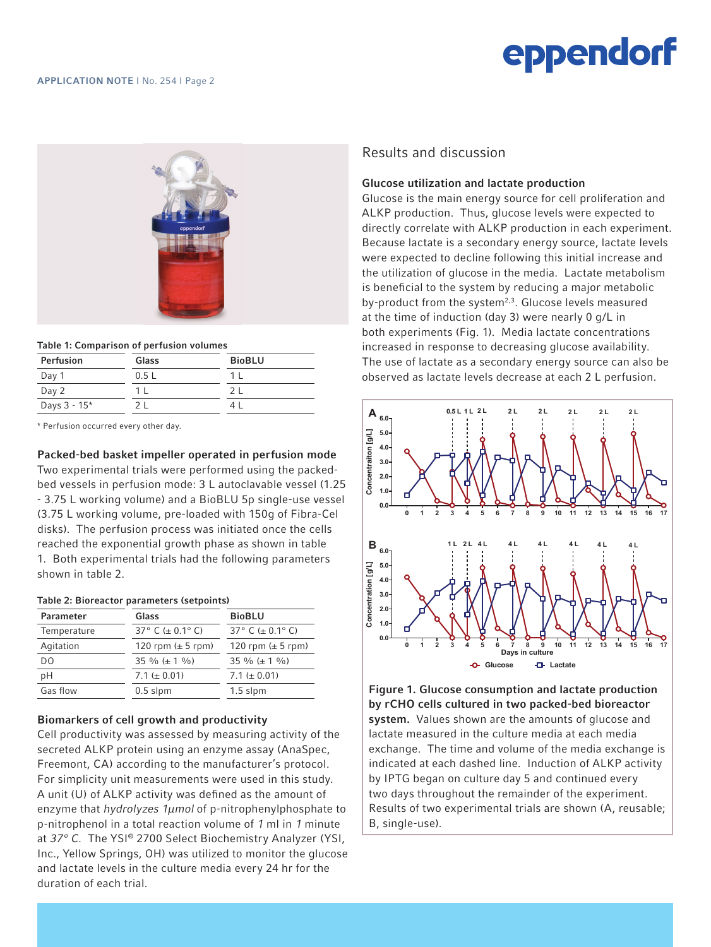

#### Table 1: Comparison of perfusion volumes

| Perfusion    | Glass | <b>BioBLU</b> |
|--------------|-------|---------------|
| Day 1        | 0.5L  |               |
| Day 2        |       |               |
| Days 3 - 15* |       |               |

\* Perfusion occurred every other day.

### Packed-bed basket impeller operated in perfusion mode

Two experimental trials were performed using the packedbed vessels in perfusion mode: 3 L autoclavable vessel (1.25 - 3.75 L working volume) and a BioBLU 5p single-use vessel (3.75 L working volume, pre-loaded with 150g of Fibra-Cel disks). The perfusion process was initiated once the cells reached the exponential growth phase as shown in table 1. Both experimental trials had the following parameters shown in table 2.

#### Table 2: Bioreactor parameters (setpoints)

| <b>Parameter</b> | Glass                 | <b>BioBLU</b>         |
|------------------|-----------------------|-----------------------|
| Temperature      | 37° C ( $\pm$ 0.1° C) | 37° C ( $\pm$ 0.1° C) |
| Agitation        | 120 rpm $(\pm 5$ rpm) | 120 rpm $(\pm 5$ rpm) |
| DO               | 35 % $(\pm 1 \%)$     | 35 % $(\pm 1 \%)$     |
| pH               | $7.1 (\pm 0.01)$      | 7.1 ( $\pm$ 0.01)     |
| Gas flow         | $0.5$ slpm            | $1.5$ slpm            |

### Biomarkers of cell growth and productivity

Cell productivity was assessed by measuring activity of the secreted ALKP protein using an enzyme assay (AnaSpec, Freemont, CA) according to the manufacturer's protocol. For simplicity unit measurements were used in this study. A unit (U) of ALKP activity was defined as the amount of enzyme that hydrolyzes 1µmol of p-nitrophenylphosphate to p-nitrophenol in a total reaction volume of 1 ml in 1 minute at 37° C. The YSI® 2700 Select Biochemistry Analyzer (YSI, Inc., Yellow Springs, OH) was utilized to monitor the glucose and lactate levels in the culture media every 24 hr for the duration of each trial.

# **RESULTS** and discussion

#### Glucose utilization and lactate production *Glucose utilization and lactate production*

Glucose is the main energy source for cell proliferation and ALKP production. Thus, glucose levels were expected to ALKP production. Thus, glucose levels were expected to directly correlate with ALKP production in each experiment. secondary energy source, lactate levels and Because lactate is a secondary energy source, lactate levels were expected to decline following this initial increase and were expected to decline following this initial increase and the utilization of glucose in the media. Lactate metabolism metabolic by-product from the system by-production the system induction (day 3). The time of induction (day 3) were discussed at the system by-producing a major metabolic system (day 3) were discussed at the time of induct nearly 0 g/L in both experiments (Fig. 1). The system<sup>2,3</sup>. Glucose levels measured in response to decrease to decreasing to decrease to decrease to decrease to decrease to decrease to decrease to decrease to decrease to d glucose at the time of induction (day 3) were nearly 0 g/L in also be observed as  $\alpha$ both experiments (Fig. 1). Media lactate concentrations increased in response to decreasing glucose availability. The use of lactate as a secondary energy source can also be observed as lactate levels decrease at each 2 L perfusion.



Figure 1. Glucose consumption and lactate production **Figure 1. If**  $\begin{bmatrix} \frac{1}{2} & \frac{1}{2} \\ \frac{1}{2} & \frac{1}{2} \end{bmatrix}$  **by rCHO cells cultured in two packed-bed bioreactor** system. Values shown are the amounts of glucose and :tivity of the  $\begin{array}{|l|} \text{lactate measured in the culture media at each media} \end{array}$ (AnaSpec,  $\qquad \qquad \vert$  exchange. The time and volume of the media exchange is  $\mid$ indicated at each dashed line. Induction of ALKP activity by IPTG began on culture day 5 and continued every two days throughout the remainder of the experiment. Results of two experimental trials are shown (A, reusable; B, single-use).  $\alpha$  at each media exchange. The time and volume of the media exchange is indicated at each dashed line.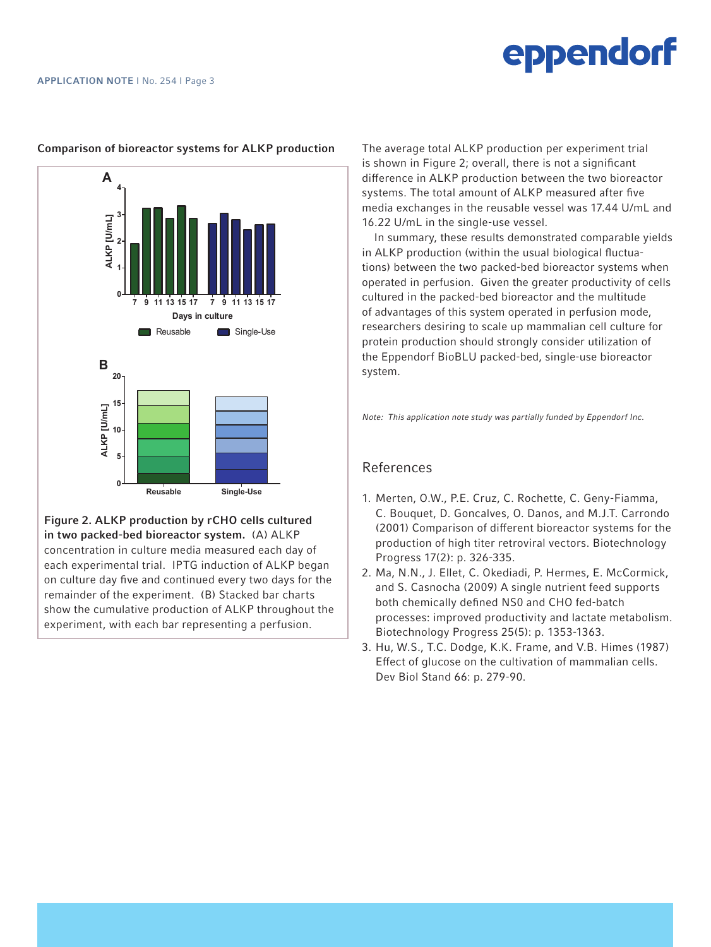

# Comparison of bioreactor systems for ALKP production *Comparison of bioreactor systems for ALKP production*

Figure 2. ALKP production by rCHO cells cultured in two packed-bed bioreactor system. (A) ALKP **Figure 2. ALKP production by rCHO cells cultured in two packed-bed bioreactor system.** (A)  $\vert$  concentration in culture media measured each day of  $\vert$   $\vert$   $\rangle$  production of each experimental trial. IPTG induction of ALKP began  $\frac{1}{2}$ on culture day five and continued every two days for the remainder of the experiment. (B) Stacked bar charts Show the cumulative production of ALKP throughout the  $\frac{1}{2}$ experiment, with each bar representing a perfusion. significant difference in ALKP production between the two bioreactor systems. The total amount of ALKP ALKP concentration in culture media measured each day of each experimental trial. IPTG induction of

The average total ALKP production per experiment trial is shown in Figure 2; overall, there is not a significant difference in ALKP production between the two bioreactor systems. The total amount of ALKP measured after five media exchanges in the reusable vessel was 17.44 U/mL and 16.22 U/mL in the single-use vessel.

In summary, these results demonstrated comparable yields in ALKP production (within the usual biological fluctuations) between the two packed-bed bioreactor systems when operated in perfusion. Given the greater productivity of cells cultured in the packed-bed bioreactor and the multitude of advantages of this system operated in perfusion mode, researchers desiring to scale up mammalian cell culture for protein production should strongly consider utilization of the Eppendorf BioBLU packed-bed, single-use bioreactor system.

Note: This application note study was partially funded by Eppendorf Inc.

#### References

- 1. Merten, O.W., P.E. Cruz, C. Rochette, C. Geny-Fiamma, C. Bouquet, D. Goncalves, O. Danos, and M.J.T. Carrondo (2001) Comparison of different bioreactor systems for the production of high titer retroviral vectors. Biotechnology Progress 17(2): p. 326-335.
- 2. Ma, N.N., J. Ellet, C. Okediadi, P. Hermes, E. McCormick, and S. Casnocha (2009) A single nutrient feed supports both chemically defined NS0 and CHO fed-batch processes: improved productivity and lactate metabolism. Biotechnology Progress 25(5): p. 1353-1363.
- 3. Hu, W.S., T.C. Dodge, K.K. Frame, and V.B. Himes (1987) Effect of glucose on the cultivation of mammalian cells. Dev Biol Stand 66: p. 279-90.  $D<sub>CV</sub>$  summary, the results of the results of the study show show that the  $N<sub>IV</sub>$